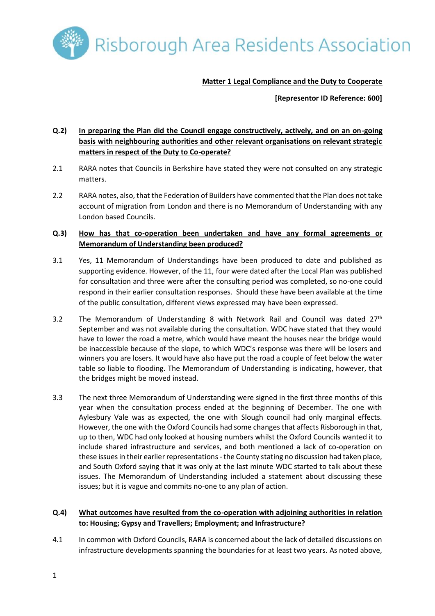Risborough Area Residents Association

**Matter 1 Legal Compliance and the Duty to Cooperate**

**[Representor ID Reference: 600]**

# **Q.2) In preparing the Plan did the Council engage constructively, actively, and on an on-going basis with neighbouring authorities and other relevant organisations on relevant strategic matters in respect of the Duty to Co-operate?**

- 2.1 RARA notes that Councils in Berkshire have stated they were not consulted on any strategic matters.
- 2.2 RARA notes, also, that the Federation of Builders have commented that the Plan does not take account of migration from London and there is no Memorandum of Understanding with any London based Councils.

## **Q.3) How has that co-operation been undertaken and have any formal agreements or Memorandum of Understanding been produced?**

- 3.1 Yes, 11 Memorandum of Understandings have been produced to date and published as supporting evidence. However, of the 11, four were dated after the Local Plan was published for consultation and three were after the consulting period was completed, so no-one could respond in their earlier consultation responses. Should these have been available at the time of the public consultation, different views expressed may have been expressed.
- 3.2 The Memorandum of Understanding 8 with Network Rail and Council was dated  $27<sup>th</sup>$ September and was not available during the consultation. WDC have stated that they would have to lower the road a metre, which would have meant the houses near the bridge would be inaccessible because of the slope, to which WDC's response was there will be losers and winners you are losers. It would have also have put the road a couple of feet below the water table so liable to flooding. The Memorandum of Understanding is indicating, however, that the bridges might be moved instead.
- 3.3 The next three Memorandum of Understanding were signed in the first three months of this year when the consultation process ended at the beginning of December. The one with Aylesbury Vale was as expected, the one with Slough council had only marginal effects. However, the one with the Oxford Councils had some changes that affects Risborough in that, up to then, WDC had only looked at housing numbers whilst the Oxford Councils wanted it to include shared infrastructure and services, and both mentioned a lack of co-operation on these issues in their earlier representations - the County stating no discussion had taken place, and South Oxford saying that it was only at the last minute WDC started to talk about these issues. The Memorandum of Understanding included a statement about discussing these issues; but it is vague and commits no-one to any plan of action.

## **Q.4) What outcomes have resulted from the co-operation with adjoining authorities in relation to: Housing; Gypsy and Travellers; Employment; and Infrastructure?**

4.1 In common with Oxford Councils, RARA is concerned about the lack of detailed discussions on infrastructure developments spanning the boundaries for at least two years. As noted above,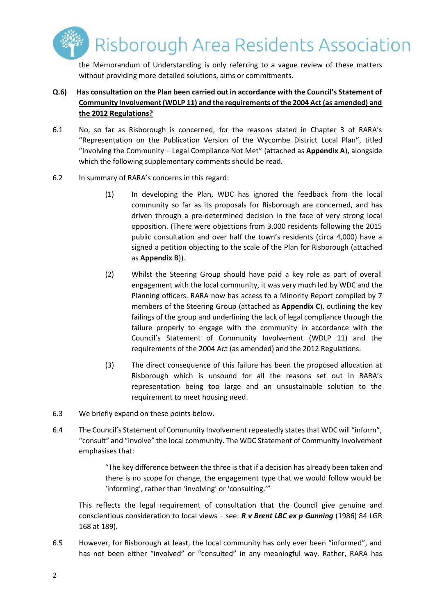Risborough Area Residents Association

the Memorandum of Understanding is only referring to a vague review of these matters without providing more detailed solutions, aims or commitments.

## **Q.6) Has consultation on the Plan been carried out in accordance with the Council's Statement of Community Involvement (WDLP 11) and the requirements of the 2004 Act (as amended) and the 2012 Regulations?**

- 6.1 No, so far as Risborough is concerned, for the reasons stated in Chapter 3 of RARA's "Representation on the Publication Version of the Wycombe District Local Plan", titled "Involving the Community – Legal Compliance Not Met" (attached as **Appendix A**), alongside which the following supplementary comments should be read.
- 6.2 In summary of RARA's concerns in this regard:
	- (1) In developing the Plan, WDC has ignored the feedback from the local community so far as its proposals for Risborough are concerned, and has driven through a pre-determined decision in the face of very strong local opposition. (There were objections from 3,000 residents following the 2015 public consultation and over half the town's residents (circa 4,000) have a signed a petition objecting to the scale of the Plan for Risborough (attached as **Appendix B**)).
	- (2) Whilst the Steering Group should have paid a key role as part of overall engagement with the local community, it was very much led by WDC and the Planning officers. RARA now has access to a Minority Report compiled by 7 members of the Steering Group (attached as **Appendix C**), outlining the key failings of the group and underlining the lack of legal compliance through the failure properly to engage with the community in accordance with the Council's Statement of Community Involvement (WDLP 11) and the requirements of the 2004 Act (as amended) and the 2012 Regulations.
	- (3) The direct consequence of this failure has been the proposed allocation at Risborough which is unsound for all the reasons set out in RARA's representation being too large and an unsustainable solution to the requirement to meet housing need.
- 6.3 We briefly expand on these points below.
- 6.4 The Council's Statement of Community Involvement repeatedly states that WDC will "inform", "consult" and "involve" the local community. The WDC Statement of Community Involvement emphasises that:

"The key difference between the three is that if a decision has already been taken and there is no scope for change, the engagement type that we would follow would be 'informing', rather than 'involving' or 'consulting.'"

This reflects the legal requirement of consultation that the Council give genuine and conscientious consideration to local views – see: *R v Brent LBC ex p Gunning* (1986) 84 LGR 168 at 189).

6.5 However, for Risborough at least, the local community has only ever been "informed", and has not been either "involved" or "consulted" in any meaningful way. Rather, RARA has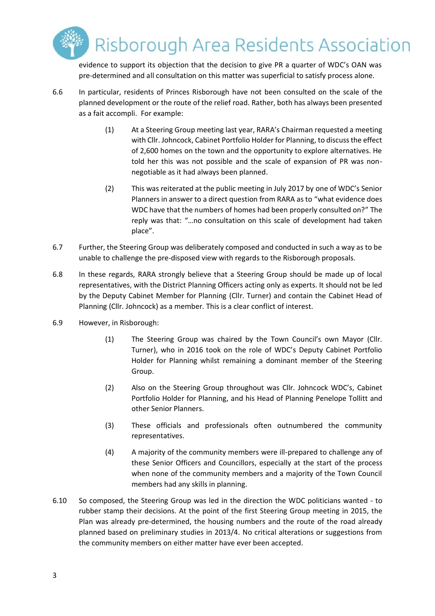

evidence to support its objection that the decision to give PR a quarter of WDC's OAN was pre-determined and all consultation on this matter was superficial to satisfy process alone.

- 6.6 In particular, residents of Princes Risborough have not been consulted on the scale of the planned development or the route of the relief road. Rather, both has always been presented as a fait accompli. For example:
	- (1) At a Steering Group meeting last year, RARA's Chairman requested a meeting with Cllr. Johncock, Cabinet Portfolio Holder for Planning, to discuss the effect of 2,600 homes on the town and the opportunity to explore alternatives. He told her this was not possible and the scale of expansion of PR was nonnegotiable as it had always been planned.
	- (2) This was reiterated at the public meeting in July 2017 by one of WDC's Senior Planners in answer to a direct question from RARA as to "what evidence does WDC have that the numbers of homes had been properly consulted on?" The reply was that: "…no consultation on this scale of development had taken place".
- 6.7 Further, the Steering Group was deliberately composed and conducted in such a way as to be unable to challenge the pre-disposed view with regards to the Risborough proposals.
- 6.8 In these regards, RARA strongly believe that a Steering Group should be made up of local representatives, with the District Planning Officers acting only as experts. It should not be led by the Deputy Cabinet Member for Planning (Cllr. Turner) and contain the Cabinet Head of Planning (Cllr. Johncock) as a member. This is a clear conflict of interest.
- 6.9 However, in Risborough:
	- (1) The Steering Group was chaired by the Town Council's own Mayor (Cllr. Turner), who in 2016 took on the role of WDC's Deputy Cabinet Portfolio Holder for Planning whilst remaining a dominant member of the Steering Group.
	- (2) Also on the Steering Group throughout was Cllr. Johncock WDC's, Cabinet Portfolio Holder for Planning, and his Head of Planning Penelope Tollitt and other Senior Planners.
	- (3) These officials and professionals often outnumbered the community representatives.
	- (4) A majority of the community members were ill-prepared to challenge any of these Senior Officers and Councillors, especially at the start of the process when none of the community members and a majority of the Town Council members had any skills in planning.
- 6.10 So composed, the Steering Group was led in the direction the WDC politicians wanted to rubber stamp their decisions. At the point of the first Steering Group meeting in 2015, the Plan was already pre-determined, the housing numbers and the route of the road already planned based on preliminary studies in 2013/4. No critical alterations or suggestions from the community members on either matter have ever been accepted.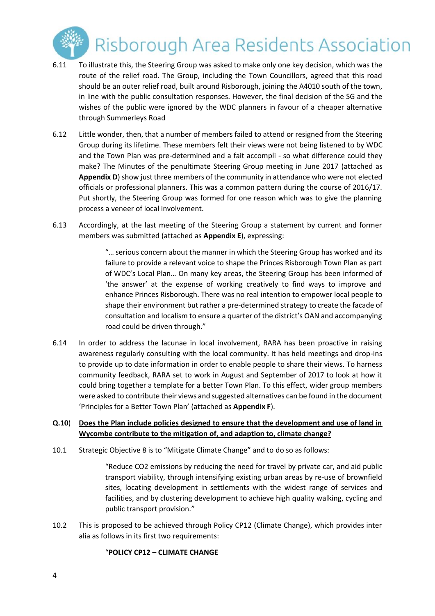

- 6.11 To illustrate this, the Steering Group was asked to make only one key decision, which was the route of the relief road. The Group, including the Town Councillors, agreed that this road should be an outer relief road, built around Risborough, joining the A4010 south of the town, in line with the public consultation responses. However, the final decision of the SG and the wishes of the public were ignored by the WDC planners in favour of a cheaper alternative through Summerleys Road
- 6.12 Little wonder, then, that a number of members failed to attend or resigned from the Steering Group during its lifetime. These members felt their views were not being listened to by WDC and the Town Plan was pre-determined and a fait accompli - so what difference could they make? The Minutes of the penultimate Steering Group meeting in June 2017 (attached as **Appendix D**) show just three members of the community in attendance who were not elected officials or professional planners. This was a common pattern during the course of 2016/17. Put shortly, the Steering Group was formed for one reason which was to give the planning process a veneer of local involvement.
- 6.13 Accordingly, at the last meeting of the Steering Group a statement by current and former members was submitted (attached as **Appendix E**), expressing:

"… serious concern about the manner in which the Steering Group has worked and its failure to provide a relevant voice to shape the Princes Risborough Town Plan as part of WDC's Local Plan… On many key areas, the Steering Group has been informed of 'the answer' at the expense of working creatively to find ways to improve and enhance Princes Risborough. There was no real intention to empower local people to shape their environment but rather a pre-determined strategy to create the facade of consultation and localism to ensure a quarter of the district's OAN and accompanying road could be driven through."

6.14 In order to address the lacunae in local involvement, RARA has been proactive in raising awareness regularly consulting with the local community. It has held meetings and drop-ins to provide up to date information in order to enable people to share their views. To harness community feedback, RARA set to work in August and September of 2017 to look at how it could bring together a template for a better Town Plan. To this effect, wider group members were asked to contribute their views and suggested alternatives can be found in the document 'Principles for a Better Town Plan' (attached as **Appendix F**).

### **Q.10**) **Does the Plan include policies designed to ensure that the development and use of land in Wycombe contribute to the mitigation of, and adaption to, climate change?**

10.1 Strategic Objective 8 is to "Mitigate Climate Change" and to do so as follows:

"Reduce CO2 emissions by reducing the need for travel by private car, and aid public transport viability, through intensifying existing urban areas by re-use of brownfield sites, locating development in settlements with the widest range of services and facilities, and by clustering development to achieve high quality walking, cycling and public transport provision."

10.2 This is proposed to be achieved through Policy CP12 (Climate Change), which provides inter alia as follows in its first two requirements:

### "**POLICY CP12 – CLIMATE CHANGE**